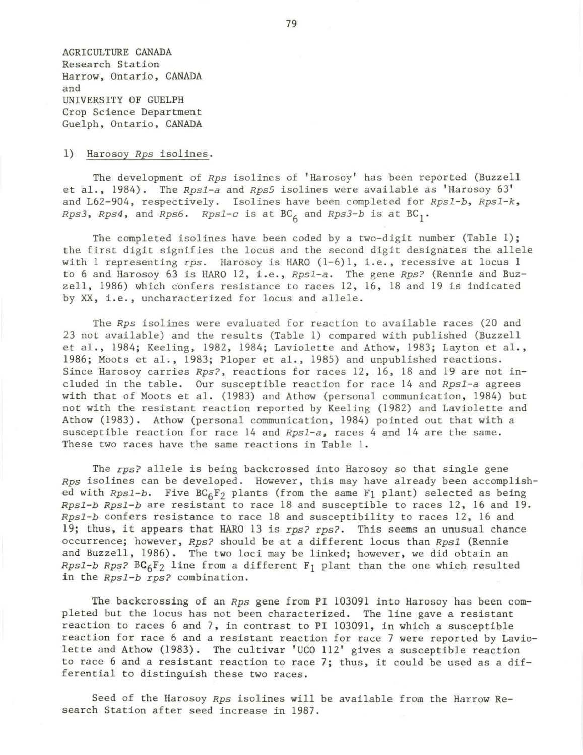AGRICULTURE CANADA Research Station Harrow, Ontario, CANADA and UNIVERSITY OF GUELPH Crop Science Department Guelph, Ontario, CANADA

## 1) Harosoy *Rps* isolines.

The development of *Rps* isolines of 'Harosoy' has been reported (Buzzell et al. , 1984). The *Rpsl-a* and *Rps5* isolines were available as 'Harosoy 63' and L62-904, respectively. Isolines have been completed for *Rps1-b*, *Rps1-k*, *Rps3, Rps4, and Rps6. Rps1-c is at*  $BC<sub>A</sub>$  *and*  $Rps3-b$  *is at*  $BC<sub>1</sub>$ *.* 

The completed isolines have been coded by a two-digit number (Table l); the first digit signifies the locus and the second digit designates the allele with 1 representing *rps.* Harosoy is HARO (1-6)1, i.e., recessive at locus 1 to 6 and Harosoy 63 is HARO 12, i.e., *Rps1-a*. The gene *Rps?* (Rennie and Buz $z$ ell, 1986) which confers resistance to races 12, 16, 18 and 19 is indicated by XX, i.e., uncharacterized for locus and allele.

The *Rps* isolines were evaluated for reaction to available races (20 and 23 not available) and the results (Table 1) compared with published (Buzzell et al., 1984; Keeling, 1982, 1984; Laviolette and Athow, 1983; Layton et al., 1986; Moots et al., 1983; Ploper et al. , 1985) and unpublished reactions. Since Harosoy carries *Rps?,* reactions for races 12, 16, 18 and 19 are not included in the table . Our susceptible reaction for race 14 and *Rpsl-a* agrees with that of Moots et al. (1983) and Athow (personal communication, 1984) but not with the resistant reaction reported by Keeling (1982) and Laviolette and Athow (1983). Athow (personal communication, 1984) pointed out that with a susceptible reaction for race 14 and *Rpsl-a,* races 4 and 14 are the same. These two races have the same reactions in Table 1.

The rps? allele is being backcrossed into Harosoy so that single gene Rps isolines can be developed. However, this may have already been accomplished with *Rps1-b*. Five BC<sub>6</sub>F<sub>2</sub> plants (from the same F<sub>1</sub> plant) selected as being *Rpsl-b Rpsl-b* are resistant to race 18 and susceptible to races 12, 16 and 19. *Rpsl-b* confers resistance to race 18 and susceptibility to races 12, 16 and 19; thus, it appears that HARO 13 is *rps? rps? .* This seems an unusual chance occurrence; however, *Rps?* should be at a different locus than *Rpsl* (Rennie and Buzzell, 1986). The two loci may be linked; however, we did obtain an  $Rps1-b$   $Rps?$   $BC_6F_2$  line from a different  $F_1$  plant than the one which resulted in the *Rpsl-b rps?* combination.

The backcrossing of an *Rps* gene from PI 103091 into Harosoy has been completed but the locus has not been characterized. The line gave a resistant reaction to races 6 and 7, in contrast to PI 103091, in which a susceptible reaction for race 6 and a resistant reaction for race 7 were reported by Laviolette and Athow (1983). The cultivar 'UCO 112' gives a susceptible reaction to race 6 and a resistant reaction to race 7; thus, it could be used as a differential to distinguish these two races.

Seed of the Harosoy *Rps* isolines will be available from the Harrow Research Station after seed increase in 1987.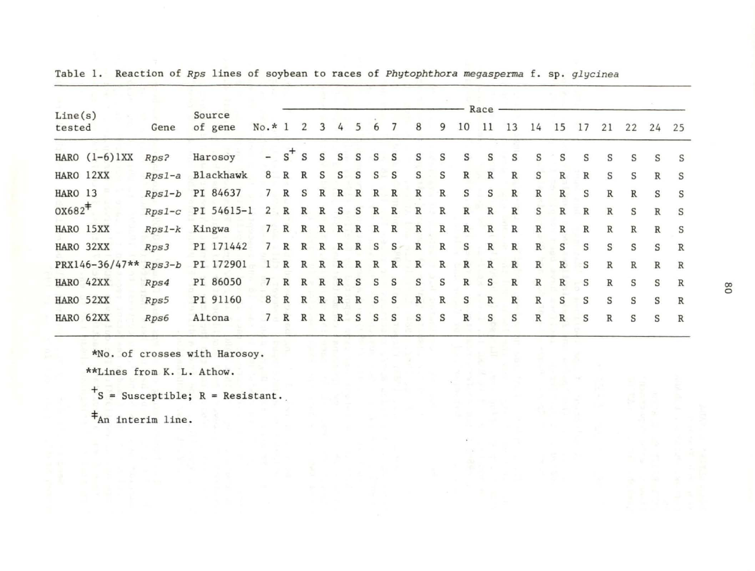|                  |          |                   | $No.* 1$                 |              |              |              |              |              |              |              |              |               |               |              |               |               |              |              |              |              |              |              |
|------------------|----------|-------------------|--------------------------|--------------|--------------|--------------|--------------|--------------|--------------|--------------|--------------|---------------|---------------|--------------|---------------|---------------|--------------|--------------|--------------|--------------|--------------|--------------|
| Line(s)          |          | Source            |                          |              | 2            | 3            | 4            | 5            | 6            | 7            | 8            | 9             | 10            | Race<br>11   | 13            | 14            |              | 17           |              |              |              |              |
| tested           | Gene     | of gene           |                          |              |              |              |              |              |              |              |              |               |               |              |               |               | 15           |              | 21           | 22           | 24           | 25           |
| HARO $(1-6)$ 1XX | Rps?     | Harosoy           | $\overline{\phantom{0}}$ | $s^+$        | S            | S            | S            | S            | S            | S            | S            | S             | S             | S            | S             | S             | S            | S            | S            | S            | S            | S            |
| HARO 12XX        | $Rps1-a$ | Blackhawk         | 8                        | R            | $\mathbb{R}$ | S            | S            | S            | S            | S            | S            | S             | $\mathbb R$   | R            | $\mathbb{R}$  | S             | R            | $\mathbb{R}$ | S            | S            | $\mathbb{R}$ | S            |
| HARO 13          | $Rps1-b$ | PI 84637          | 7                        | $\mathbb R$  | S            | $\mathbb{R}$ | R            | $\mathbb{R}$ | $\mathbb{R}$ | $\mathbb{R}$ | $\mathbb R$  | ${\mathbb R}$ | S             | S            | ${\tt R}$     | $\, {\bf R}$  | $\mathbb R$  | S            | $\mathbb R$  | R            | S            | S            |
| $0x682*$         |          | Rps1-c PI 54615-1 | $\mathbf{2}$             | $\mathbb R$  | $\mathbb{R}$ | R            | S            | S            | $\mathbb{R}$ | R            | $\, {\bf R}$ | $\, {\bf R}$  | $\, {\bf R}$  | $\mathbb{R}$ | $\, {\bf R}$  | S             | $\, {\bf R}$ | $\, {\bf R}$ | $\mathbb{R}$ | S            | $\mathbb{R}$ | S            |
| HARO 15XX        | $Rps1-k$ | Kingwa            | $7^{\circ}$              | $\mathbb{R}$ | $\mathbb{R}$ | R            | R            | R            | $\mathbb{R}$ | R            | $\, {\bf R}$ | R             | ${\mathbb R}$ | $\, {\bf R}$ | R             | $\mathbb R$   | $\mathbb R$  | $\mathbb R$  | R            | $\mathbb{R}$ | $\mathbb R$  | S            |
| HARO 32XX        | Rps3     | PI 171442         |                          | R            | $\mathbb{R}$ | R            | R            | $\mathbb R$  | S            | $S -$        | R            | $\mathbb R$   | S             | R            | $\mathbb{R}$  | $\mathbb{R}$  | S            | S            | S            | S            | S            | $\mathbb{R}$ |
| PRX146-36/47**   | $Rps3-b$ | PI 172901         | ı.                       | R            | $\mathbb{R}$ | R            | R            | $\, {\bf R}$ | $\mathbb R$  | $\mathbb{R}$ | $\, {\bf R}$ | $\mathbb R$   | $\, {\bf R}$  | $\mathbb{R}$ | R             | $\mathbb R$   | $\mathbb R$  | S            | $\mathbb{R}$ | $\mathbb R$  | $\mathbb{R}$ | $\mathbb{R}$ |
| HARO 42XX        | Rps4     | PI 86050          | $\overline{7}$           | $\mathbb{R}$ | R            | R            | R            | S            | $\mathbf S$  | S            | S            | S             | $\mathbb{R}$  | S            | $\mathbb{R}$  | ${\mathbb R}$ | $\mathbb R$  | S            | $\mathbb{R}$ | S            | S            | $\mathbb R$  |
| HARO 52XX        | Rps5     | PI 91160          | 8                        | $\mathbb R$  | $\, {\bf R}$ | R            | $\mathbb{R}$ | $\mathbb{R}$ | S            | S            | $\, {\bf R}$ | ${\mathbb R}$ | $\mathbf S$   | $\, {\bf R}$ | ${\mathbb R}$ | $\mathbb R$   | S            | S            | S            | S            | S            | $\, {\bf R}$ |
| HARO 62XX        | Rps6     | Altona            |                          | $\mathbb{R}$ | $\mathbb{R}$ | $\mathbb{R}$ | R            | S            | S            | S            | S            | S             | R             | S            | S             | $\mathbb R$   | $\mathbb{R}$ | S            | $\mathbb R$  | S            | S            | $\mathbb{R}$ |
|                  |          |                   |                          |              |              |              |              |              |              |              |              |               |               |              |               |               |              |              |              |              |              |              |

Table 1. Reaction of *Rps* lines of soybean to races of *Phytophthora megasperma* f. sp. *glycinea* 

\*No. of crosses with Harosoy.

\*\*Lines from K. L. Athow.

 $+$ S = Susceptible; R = Resistant.

\*An interim line.